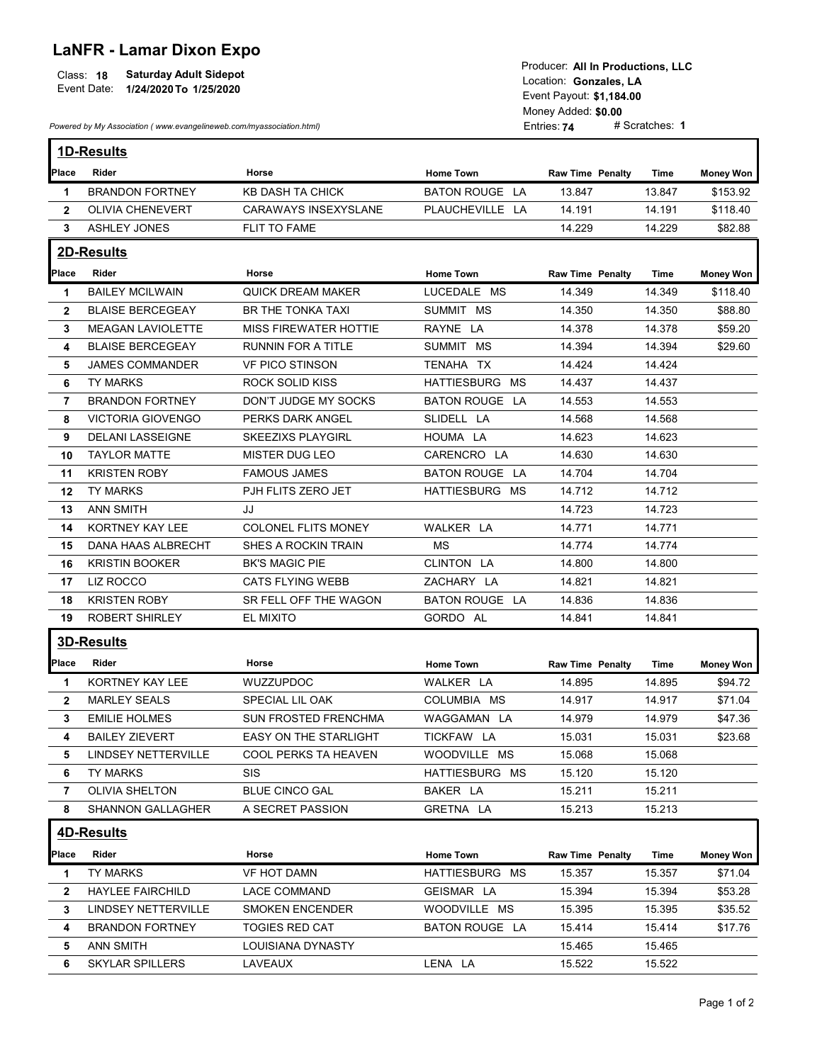## LaNFR - Lamar Dixon Expo

|              |                               | TOGUCCI. AII III FTUUUCHUIIS. LLU |
|--------------|-------------------------------|-----------------------------------|
| Class:<br>18 | <b>Saturday Adult Sidepot</b> | Location: Gonzales, LA            |
| Event Date:  | 1/24/2020 To 1/25/2020        |                                   |
|              |                               | Event Povout: 04 404 00           |

| <b>LaNFR - Lamar Dixon Expo</b><br><b>Saturday Adult Sidepot</b><br>Class: 18<br>Event Date: 1/24/2020 To 1/25/2020 |                                                                      |                              | Producer: All In Productions, LLC<br>Location: Gonzales, LA<br>Event Payout: \$1,184.00<br>Money Added: \$0.00 |                         |                |                  |  |
|---------------------------------------------------------------------------------------------------------------------|----------------------------------------------------------------------|------------------------------|----------------------------------------------------------------------------------------------------------------|-------------------------|----------------|------------------|--|
|                                                                                                                     | Powered by My Association (www.evangelineweb.com/myassociation.html) |                              |                                                                                                                | Entries: 74             | # Scratches: 1 |                  |  |
|                                                                                                                     | 1D-Results                                                           |                              |                                                                                                                |                         |                |                  |  |
| Place                                                                                                               | Rider                                                                | Horse                        | <b>Home Town</b>                                                                                               | <b>Raw Time Penalty</b> | Time           | <b>Money Won</b> |  |
| 1                                                                                                                   | <b>BRANDON FORTNEY</b>                                               | <b>KB DASH TA CHICK</b>      | <b>BATON ROUGE LA</b>                                                                                          | 13.847                  | 13.847         | \$153.92         |  |
| $\mathbf{2}$                                                                                                        | <b>OLIVIA CHENEVERT</b>                                              | <b>CARAWAYS INSEXYSLANE</b>  | PLAUCHEVILLE LA                                                                                                | 14.191                  | 14.191         | \$118.40         |  |
| 3                                                                                                                   | <b>ASHLEY JONES</b>                                                  | FLIT TO FAME                 |                                                                                                                | 14.229                  | 14.229         | \$82.88          |  |
|                                                                                                                     |                                                                      |                              |                                                                                                                |                         |                |                  |  |
|                                                                                                                     | 2D-Results                                                           |                              |                                                                                                                |                         |                |                  |  |
| Place                                                                                                               | Rider                                                                | Horse                        | <b>Home Town</b>                                                                                               | <b>Raw Time Penalty</b> | Time           | <b>Money Won</b> |  |
| $\mathbf 1$                                                                                                         | <b>BAILEY MCILWAIN</b>                                               | <b>QUICK DREAM MAKER</b>     | LUCEDALE MS                                                                                                    | 14.349                  | 14.349         | \$118.40         |  |
| $\mathbf{2}$                                                                                                        | <b>BLAISE BERCEGEAY</b>                                              | BR THE TONKA TAXI            | SUMMIT MS                                                                                                      | 14.350                  | 14.350         | \$88.80          |  |
| 3                                                                                                                   | <b>MEAGAN LAVIOLETTE</b>                                             | <b>MISS FIREWATER HOTTIE</b> | RAYNE LA                                                                                                       | 14.378                  | 14.378         | \$59.20          |  |
| 4                                                                                                                   | <b>BLAISE BERCEGEAY</b>                                              | <b>RUNNIN FOR A TITLE</b>    | SUMMIT MS                                                                                                      | 14.394                  | 14.394         | \$29.60          |  |
| 5                                                                                                                   | <b>JAMES COMMANDER</b>                                               | <b>VF PICO STINSON</b>       | TENAHA TX                                                                                                      | 14.424                  | 14.424         |                  |  |
| 6                                                                                                                   | <b>TY MARKS</b>                                                      | <b>ROCK SOLID KISS</b>       | HATTIESBURG MS                                                                                                 | 14.437                  | 14.437         |                  |  |
| 7                                                                                                                   | <b>BRANDON FORTNEY</b>                                               | DON'T JUDGE MY SOCKS         | BATON ROUGE LA                                                                                                 | 14.553                  | 14.553         |                  |  |
| 8                                                                                                                   | <b>VICTORIA GIOVENGO</b>                                             | PERKS DARK ANGEL             | SLIDELL LA                                                                                                     | 14.568                  | 14.568         |                  |  |
| 9                                                                                                                   | DELANI LASSEIGNE                                                     | <b>SKEEZIXS PLAYGIRL</b>     | HOUMA LA                                                                                                       | 14.623                  | 14.623         |                  |  |
| 10                                                                                                                  | <b>TAYLOR MATTE</b>                                                  | MISTER DUG LEO               | CARENCRO LA                                                                                                    | 14.630                  | 14.630         |                  |  |
| 11                                                                                                                  | <b>KRISTEN ROBY</b>                                                  | <b>FAMOUS JAMES</b>          | <b>BATON ROUGE LA</b>                                                                                          | 14.704                  | 14.704         |                  |  |
|                                                                                                                     | 12 TY MARKS                                                          | PJH FLITS ZERO JET           | HATTIESBURG MS                                                                                                 | 14.712                  | 14.712         |                  |  |
| 13                                                                                                                  | <b>ANN SMITH</b>                                                     | JJ                           |                                                                                                                | 14.723                  | 14.723         |                  |  |
| 14                                                                                                                  | KORTNEY KAY LEE                                                      | <b>COLONEL FLITS MONEY</b>   | WALKER LA                                                                                                      | 14.771                  | 14.771         |                  |  |
|                                                                                                                     | 15 DANA HAAS ALBRECHT                                                | SHES A ROCKIN TRAIN          | MS                                                                                                             | 14.774                  | 14.774         |                  |  |
| 16                                                                                                                  | <b>KRISTIN BOOKER</b>                                                | <b>BK'S MAGIC PIE</b>        | CLINTON LA                                                                                                     | 14.800                  | 14.800         |                  |  |
|                                                                                                                     | 17 LIZ ROCCO                                                         | CATS FLYING WEBB             | ZACHARY LA                                                                                                     | 14.821                  | 14.821         |                  |  |
| 18                                                                                                                  | <b>KRISTEN ROBY</b>                                                  | SR FELL OFF THE WAGON        | BATON ROUGE LA                                                                                                 | 14.836                  | 14.836         |                  |  |
| 19                                                                                                                  | <b>ROBERT SHIRLEY</b>                                                | EL MIXITO                    | GORDO AL                                                                                                       | 14.841                  | 14.841         |                  |  |
|                                                                                                                     | 3D-Results                                                           |                              |                                                                                                                |                         |                |                  |  |
|                                                                                                                     | Place Rider                                                          | Horse                        | <b>Home Town</b>                                                                                               | <b>Raw Time Penalty</b> | Time           | <b>Money Won</b> |  |
| -1                                                                                                                  | KORTNEY KAY LEE                                                      | WUZZUPDOC                    | WALKER LA                                                                                                      | 14.895                  | 14.895         | \$94.72          |  |
| $\mathbf{2}$                                                                                                        | <b>MARLEY SEALS</b>                                                  | SPECIAL LIL OAK              | COLUMBIA MS                                                                                                    | 14.917                  | 14.917         | \$71.04          |  |
| 3                                                                                                                   | <b>EMILIE HOLMES</b>                                                 | SUN FROSTED FRENCHMA         | WAGGAMAN LA                                                                                                    | 14.979                  | 14.979         | \$47.36          |  |
| 4                                                                                                                   | <b>BAILEY ZIEVERT</b>                                                | EASY ON THE STARLIGHT        | TICKFAW LA                                                                                                     | 15.031                  | 15.031         | \$23.68          |  |
| 5.                                                                                                                  | LINDSEY NETTERVILLE                                                  | COOL PERKS TA HEAVEN         | WOODVILLE MS                                                                                                   | 15.068                  | 15.068         |                  |  |
| 6                                                                                                                   | TY MARKS                                                             | <b>SIS</b>                   | HATTIESBURG MS                                                                                                 | 15.120                  | 15.120         |                  |  |
| 7                                                                                                                   | OLIVIA SHELTON                                                       | BLUE CINCO GAL               | BAKER LA                                                                                                       | 15.211                  | 15.211         |                  |  |
| 8                                                                                                                   | SHANNON GALLAGHER                                                    | A SECRET PASSION             | GRETNA LA                                                                                                      | 15.213                  | 15.213         |                  |  |
|                                                                                                                     |                                                                      |                              |                                                                                                                |                         |                |                  |  |
|                                                                                                                     | 4D-Results                                                           |                              |                                                                                                                |                         |                |                  |  |
| Place                                                                                                               | Rider                                                                | Horse                        | <b>Home Town</b>                                                                                               | <b>Raw Time Penalty</b> | Time           | <b>Money Won</b> |  |
| 1                                                                                                                   | TY MARKS                                                             | VF HOT DAMN                  | HATTIESBURG MS                                                                                                 | 15.357                  | 15.357         | \$71.04          |  |
|                                                                                                                     | 2 HAYLEE FAIRCHILD                                                   | <b>LACE COMMAND</b>          | GEISMAR LA                                                                                                     | 15.394                  | 15.394         | \$53.28          |  |
| 3                                                                                                                   | <b>LINDSEY NETTERVILLE</b>                                           | <b>SMOKEN ENCENDER</b>       | WOODVILLE MS                                                                                                   | 15.395                  | 15.395         | \$35.52          |  |
| 4                                                                                                                   | <b>BRANDON FORTNEY</b>                                               | TOGIES RED CAT               | <b>BATON ROUGE LA</b>                                                                                          | 15.414                  | 15.414         | \$17.76          |  |
| 5                                                                                                                   | ANN SMITH                                                            | LOUISIANA DYNASTY            |                                                                                                                | 15.465                  | 15.465         |                  |  |
|                                                                                                                     |                                                                      |                              |                                                                                                                |                         |                |                  |  |